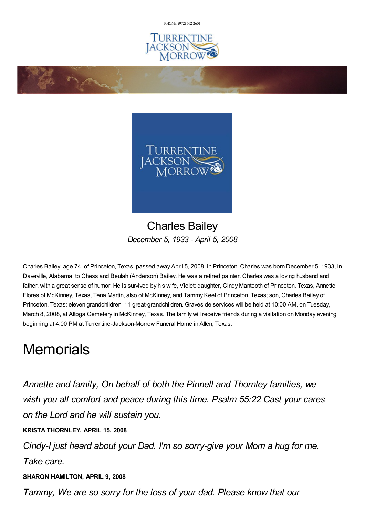PHONE: (972) [562-2601](tel:(972) 562-2601)





## Charles Bailey *December 5, 1933 - April 5, 2008*

Charles Bailey, age 74, of Princeton, Texas, passed away April 5, 2008, in Princeton. Charles was born December 5, 1933, in Daveville, Alabama, to Chess and Beulah (Anderson) Bailey. He was a retired painter. Charles was a loving husband and father, with a great sense of humor. He is survived by his wife, Violet; daughter, Cindy Mantooth of Princeton, Texas, Annette Flores of McKinney, Texas, Tena Martin, also of McKinney, and Tammy Keel of Princeton, Texas; son, Charles Bailey of Princeton, Texas; eleven grandchildren; 11 great-grandchildren. Graveside services will be held at 10:00 AM, on Tuesday, March 8, 2008, at Altoga Cemetery in McKinney, Texas. The family will receive friends during a visitation on Monday evening beginning at 4:00 PM at Turrentine-Jackson-Morrow Funeral Home in Allen, Texas.

## **Memorials**

*Annette and family, On behalf of both the Pinnell and Thornley families, we wish you all comfort and peace during this time. Psalm 55:22 Cast your cares on the Lord and he will sustain you.*

**KRISTA THORNLEY, APRIL 15, 2008**

**Contractions** 

*Cindy-I just heard about your Dad. I'm so sorry-give your Mom a hug for me. Take care.*

**SHARON HAMILTON, APRIL 9, 2008**

*Tammy, We are so sorry for the loss of your dad. Please know that our*